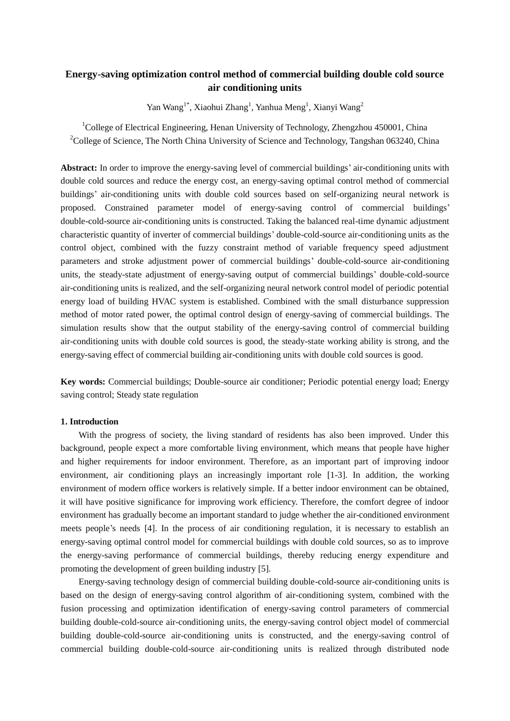# **Energy-saving optimization control method of commercial building double cold source air conditioning units**

Yan Wang<sup>1\*</sup>, Xiaohui Zhang<sup>1</sup>, Yanhua Meng<sup>1</sup>, Xianyi Wang<sup>2</sup>

<sup>1</sup>College of Electrical Engineering, Henan University of Technology, Zhengzhou 450001, China <sup>2</sup>College of Science, The North China University of Science and Technology, Tangshan 063240, China

**Abstract:** In order to improve the energy-saving level of commercial buildings' air-conditioning units with double cold sources and reduce the energy cost, an energy-saving optimal control method of commercial buildings' air-conditioning units with double cold sources based on self-organizing neural network is proposed. Constrained parameter model of energy-saving control of commercial buildings' double-cold-source air-conditioning units is constructed. Taking the balanced real-time dynamic adjustment characteristic quantity of inverter of commercial buildings' double-cold-source air-conditioning units as the control object, combined with the fuzzy constraint method of variable frequency speed adjustment parameters and stroke adjustment power of commercial buildings' double-cold-source air-conditioning units, the steady-state adjustment of energy-saving output of commercial buildings' double-cold-source air-conditioning units is realized, and the self-organizing neural network control model of periodic potential energy load of building HVAC system is established. Combined with the small disturbance suppression method of motor rated power, the optimal control design of energy-saving of commercial buildings. The simulation results show that the output stability of the energy-saving control of commercial building air-conditioning units with double cold sources is good, the steady-state working ability is strong, and the energy-saving effect of commercial building air-conditioning units with double cold sources is good.

**Key words:** Commercial buildings; Double-source air conditioner; Periodic potential energy load; Energy saving control; Steady state regulation

#### **1. Introduction**

With the progress of society, the living standard of residents has also been improved. Under this background, people expect a more comfortable living environment, which means that people have higher and higher requirements for indoor environment. Therefore, as an important part of improving indoor environment, air conditioning plays an increasingly important role [1-3]. In addition, the working environment of modern office workers is relatively simple. If a better indoor environment can be obtained, it will have positive significance for improving work efficiency. Therefore, the comfort degree of indoor environment has gradually become an important standard to judge whether the air-conditioned environment meets people's needs [4]. In the process of air conditioning regulation, it is necessary to establish an energy-saving optimal control model for commercial buildings with double cold sources, so as to improve the energy-saving performance of commercial buildings, thereby reducing energy expenditure and promoting the development of green building industry [5].

Energy-saving technology design of commercial building double-cold-source air-conditioning units is based on the design of energy-saving control algorithm of air-conditioning system, combined with the fusion processing and optimization identification of energy-saving control parameters of commercial building double-cold-source air-conditioning units, the energy-saving control object model of commercial building double-cold-source air-conditioning units is constructed, and the energy-saving control of commercial building double-cold-source air-conditioning units is realized through distributed node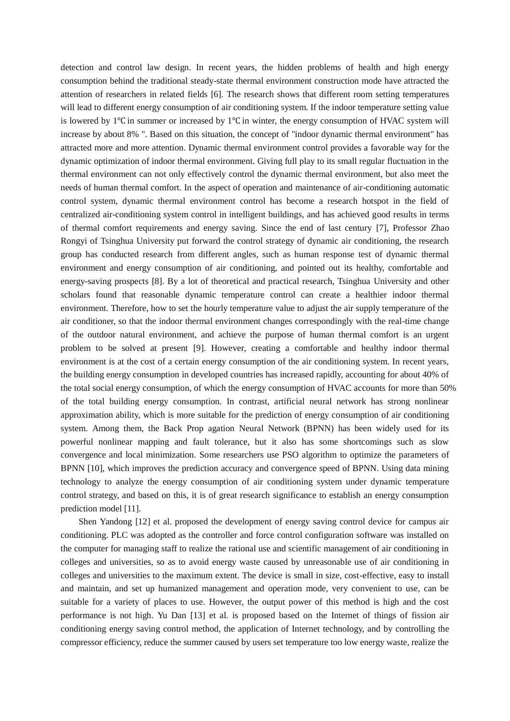detection and control law design. In recent years, the hidden problems of health and high energy consumption behind the traditional steady-state thermal environment construction mode have attracted the attention of researchers in related fields [6]. The research shows that different room setting temperatures will lead to different energy consumption of air conditioning system. If the indoor temperature setting value is lowered by 1℃ in summer or increased by 1℃ in winter, the energy consumption of HVAC system will increase by about 8% ". Based on this situation, the concept of "indoor dynamic thermal environment" has attracted more and more attention. Dynamic thermal environment control provides a favorable way for the dynamic optimization of indoor thermal environment. Giving full play to its small regular fluctuation in the thermal environment can not only effectively control the dynamic thermal environment, but also meet the needs of human thermal comfort. In the aspect of operation and maintenance of air-conditioning automatic control system, dynamic thermal environment control has become a research hotspot in the field of centralized air-conditioning system control in intelligent buildings, and has achieved good results in terms of thermal comfort requirements and energy saving. Since the end of last century [7], Professor Zhao Rongyi of Tsinghua University put forward the control strategy of dynamic air conditioning, the research group has conducted research from different angles, such as human response test of dynamic thermal environment and energy consumption of air conditioning, and pointed out its healthy, comfortable and energy-saving prospects [8]. By a lot of theoretical and practical research, Tsinghua University and other scholars found that reasonable dynamic temperature control can create a healthier indoor thermal environment. Therefore, how to set the hourly temperature value to adjust the air supply temperature of the air conditioner, so that the indoor thermal environment changes correspondingly with the real-time change of the outdoor natural environment, and achieve the purpose of human thermal comfort is an urgent problem to be solved at present [9]. However, creating a comfortable and healthy indoor thermal environment is at the cost of a certain energy consumption of the air conditioning system. In recent years, the building energy consumption in developed countries has increased rapidly, accounting for about 40% of the total social energy consumption, of which the energy consumption of HVAC accounts for more than 50% of the total building energy consumption. In contrast, artificial neural network has strong nonlinear approximation ability, which is more suitable for the prediction of energy consumption of air conditioning system. Among them, the Back Prop agation Neural Network (BPNN) has been widely used for its powerful nonlinear mapping and fault tolerance, but it also has some shortcomings such as slow convergence and local minimization. Some researchers use PSO algorithm to optimize the parameters of BPNN [10], which improves the prediction accuracy and convergence speed of BPNN. Using data mining technology to analyze the energy consumption of air conditioning system under dynamic temperature control strategy, and based on this, it is of great research significance to establish an energy consumption prediction model [11].

Shen Yandong [12] et al. proposed the development of energy saving control device for campus air conditioning. PLC was adopted as the controller and force control configuration software was installed on the computer for managing staff to realize the rational use and scientific management of air conditioning in colleges and universities, so as to avoid energy waste caused by unreasonable use of air conditioning in colleges and universities to the maximum extent. The device is small in size, cost-effective, easy to install and maintain, and set up humanized management and operation mode, very convenient to use, can be suitable for a variety of places to use. However, the output power of this method is high and the cost performance is not high. Yu Dan [13] et al. is proposed based on the Internet of things of fission air conditioning energy saving control method, the application of Internet technology, and by controlling the compressor efficiency, reduce the summer caused by users set temperature too low energy waste, realize the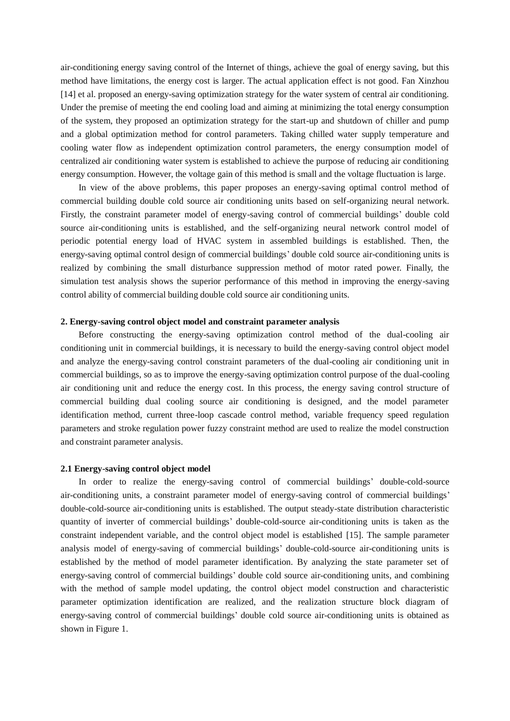air-conditioning energy saving control of the Internet of things, achieve the goal of energy saving, but this method have limitations, the energy cost is larger. The actual application effect is not good. Fan Xinzhou [14] et al. proposed an energy-saving optimization strategy for the water system of central air conditioning. Under the premise of meeting the end cooling load and aiming at minimizing the total energy consumption of the system, they proposed an optimization strategy for the start-up and shutdown of chiller and pump and a global optimization method for control parameters. Taking chilled water supply temperature and cooling water flow as independent optimization control parameters, the energy consumption model of centralized air conditioning water system is established to achieve the purpose of reducing air conditioning energy consumption. However, the voltage gain of this method is small and the voltage fluctuation is large.

In view of the above problems, this paper proposes an energy-saving optimal control method of commercial building double cold source air conditioning units based on self-organizing neural network. Firstly, the constraint parameter model of energy-saving control of commercial buildings' double cold source air-conditioning units is established, and the self-organizing neural network control model of periodic potential energy load of HVAC system in assembled buildings is established. Then, the energy-saving optimal control design of commercial buildings' double cold source air-conditioning units is realized by combining the small disturbance suppression method of motor rated power. Finally, the simulation test analysis shows the superior performance of this method in improving the energy-saving control ability of commercial building double cold source air conditioning units.

#### **2. Energy-saving control object model and constraint parameter analysis**

Before constructing the energy-saving optimization control method of the dual-cooling air conditioning unit in commercial buildings, it is necessary to build the energy-saving control object model and analyze the energy-saving control constraint parameters of the dual-cooling air conditioning unit in commercial buildings, so as to improve the energy-saving optimization control purpose of the dual-cooling air conditioning unit and reduce the energy cost. In this process, the energy saving control structure of commercial building dual cooling source air conditioning is designed, and the model parameter identification method, current three-loop cascade control method, variable frequency speed regulation parameters and stroke regulation power fuzzy constraint method are used to realize the model construction and constraint parameter analysis.

#### **2.1 Energy-saving control object model**

In order to realize the energy-saving control of commercial buildings' double-cold-source air-conditioning units, a constraint parameter model of energy-saving control of commercial buildings' double-cold-source air-conditioning units is established. The output steady-state distribution characteristic quantity of inverter of commercial buildings' double-cold-source air-conditioning units is taken as the constraint independent variable, and the control object model is established [15]. The sample parameter analysis model of energy-saving of commercial buildings' double-cold-source air-conditioning units is established by the method of model parameter identification. By analyzing the state parameter set of energy-saving control of commercial buildings' double cold source air-conditioning units, and combining with the method of sample model updating, the control object model construction and characteristic parameter optimization identification are realized, and the realization structure block diagram of energy-saving control of commercial buildings' double cold source air-conditioning units is obtained as shown in Figure 1.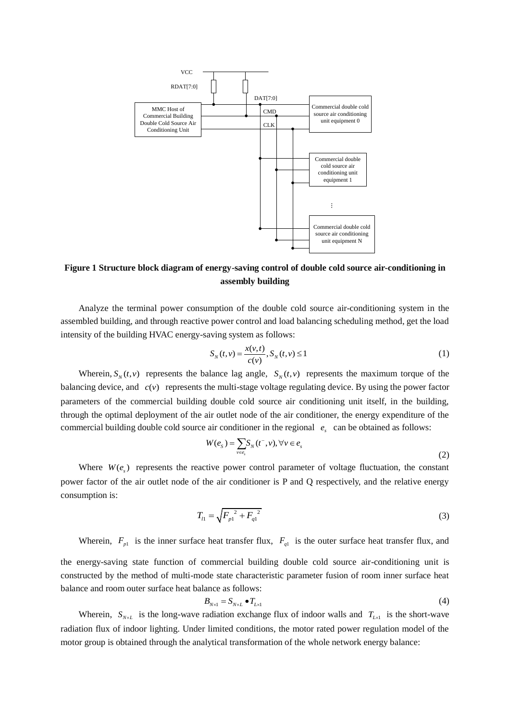

## **Figure 1 Structure block diagram of energy-saving control of double cold source air-conditioning in assembly building**

Analyze the terminal power consumption of the double cold source air-conditioning system in the assembled building, and through reactive power control and load balancing scheduling method, get the load intensity of the building HVAC energy-saving system as follows:

$$
S_N(t, v) = \frac{x(v, t)}{c(v)}, S_N(t, v) \le 1
$$
\n(1)

Wherein,  $S_N(t, v)$  represents the balance lag angle,  $S_N(t, v)$  represents the maximum torque of the balancing device, and  $c(v)$  represents the multi-stage voltage regulating device. By using the power factor parameters of the commercial building double cold source air conditioning unit itself, in the building, through the optimal deployment of the air outlet node of the air conditioner, the energy expenditure of the commercial building double cold source air conditioner in the regional  $e<sub>s</sub>$  can be obtained as follows:

$$
W(e_s) = \sum_{v \in e_s} S_N(t^-, v), \forall v \in e_s
$$
\n<sup>(2)</sup>

Where  $W(e_s)$  represents the reactive power control parameter of voltage fluctuation, the constant power factor of the air outlet node of the air conditioner is P and Q respectively, and the relative energy consumption is:

$$
T_{l1} = \sqrt{F_{p1}^2 + F_{q1}^2}
$$
 (3)

Wherein,  $F_{p1}$  is the inner surface heat transfer flux,  $F_{q1}$  is the outer surface heat transfer flux, and

the energy-saving state function of commercial building double cold source air-conditioning unit is constructed by the method of multi-mode state characteristic parameter fusion of room inner surface heat balance and room outer surface heat balance as follows:

$$
B_{N\times1} = S_{N\times L} \bullet T_{L\times1} \tag{4}
$$

Wherein,  $S_{N \times L}$  is the long-wave radiation exchange flux of indoor walls and  $T_{L \times I}$  is the short-wave radiation flux of indoor lighting. Under limited conditions, the motor rated power regulation model of the motor group is obtained through the analytical transformation of the whole network energy balance: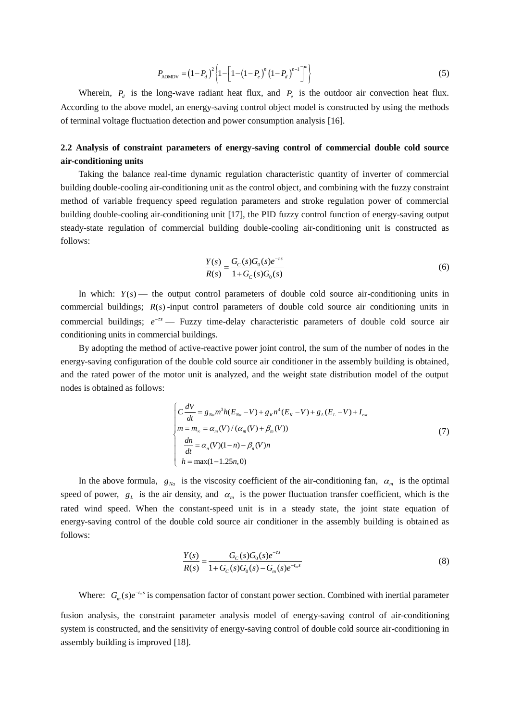$$
P_{\text{AOMDV}} = (1 - P_d)^2 \left\{ 1 - \left[ 1 - (1 - P_e)^n (1 - P_d)^{n-1} \right]^m \right\} \tag{5}
$$

Wherein,  $P_d$  is the long-wave radiant heat flux, and  $P_e$  is the outdoor air convection heat flux. According to the above model, an energy-saving control object model is constructed by using the methods of terminal voltage fluctuation detection and power consumption analysis [16].

## **2.2 Analysis of constraint parameters of energy-saving control of commercial double cold source air-conditioning units**

Taking the balance real-time dynamic regulation characteristic quantity of inverter of commercial building double-cooling air-conditioning unit as the control object, and combining with the fuzzy constraint method of variable frequency speed regulation parameters and stroke regulation power of commercial building double-cooling air-conditioning unit [17], the PID fuzzy control function of energy-saving output steady-state regulation of commercial building double-cooling air-conditioning unit is constructed as follows:

$$
\frac{Y(s)}{R(s)} = \frac{G_C(s)G_0(s)e^{-rs}}{1 + G_C(s)G_0(s)}
$$
(6)

In which:  $Y(s)$  — the output control parameters of double cold source air-conditioning units in commercial buildings;  $R(s)$ -input control parameters of double cold source air conditioning units in commercial buildings;  $e^{-rs}$  — Fuzzy time-delay characteristic parameters of double cold source air conditioning units in commercial buildings.

By adopting the method of active-reactive power joint control, the sum of the number of nodes in the energy-saving configuration of the double cold source air conditioner in the assembly building is obtained, and the rated power of the motor unit is analyzed, and the weight state distribution model of the output nodes is obtained as follows:

$$
\begin{cases}\nC\frac{dV}{dt} = g_{Na}m^{3}h(E_{Na} - V) + g_{K}n^{4}(E_{K} - V) + g_{L}(E_{L} - V) + I_{ext} \\
m = m_{\infty} = \alpha_{m}(V)/(\alpha_{m}(V) + \beta_{m}(V)) \\
\frac{dn}{dt} = \alpha_{n}(V)(1 - n) - \beta_{n}(V)n \\
h = \max(1 - 1.25n, 0)\n\end{cases}
$$
\n(7)

In the above formula,  $g_{N_a}$  is the viscosity coefficient of the air-conditioning fan,  $\alpha_m$  is the optimal speed of power,  $g_L$  is the air density, and  $\alpha_m$  is the power fluctuation transfer coefficient, which is the rated wind speed. When the constant-speed unit is in a steady state, the joint state equation of energy-saving control of the double cold source air conditioner in the assembly building is obtained as follows:

$$
\frac{Y(s)}{R(s)} = \frac{G_C(s)G_0(s)e^{-rs}}{1 + G_C(s)G_0(s) - G_m(s)e^{-t_m s}}
$$
\n(8)

Where:  $G_m(s)e^{-t_m s}$  is compensation factor of constant power section. Combined with inertial parameter

fusion analysis, the constraint parameter analysis model of energy-saving control of air-conditioning system is constructed, and the sensitivity of energy-saving control of double cold source air-conditioning in assembly building is improved [18].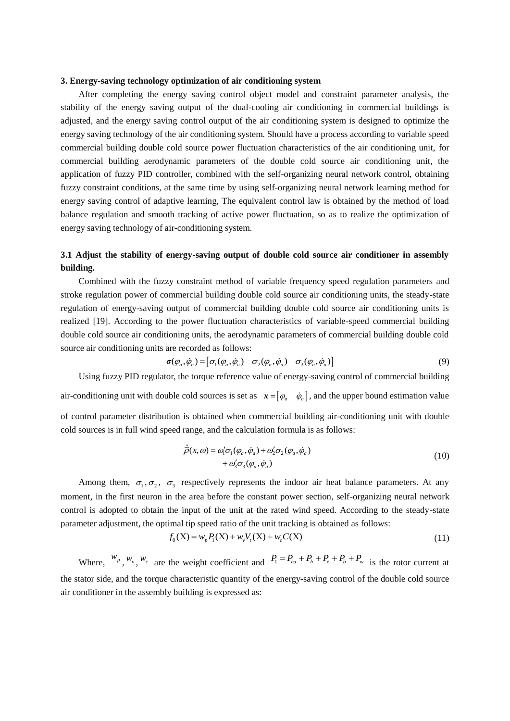#### **3. Energy-saving technology optimization of air conditioning system**

After completing the energy saving control object model and constraint parameter analysis, the stability of the energy saving output of the dual-cooling air conditioning in commercial buildings is adjusted, and the energy saving control output of the air conditioning system is designed to optimize the energy saving technology of the air conditioning system. Should have a process according to variable speed commercial building double cold source power fluctuation characteristics of the air conditioning unit, for commercial building aerodynamic parameters of the double cold source air conditioning unit, the application of fuzzy PID controller, combined with the self-organizing neural network control, obtaining fuzzy constraint conditions, at the same time by using self-organizing neural network learning method for energy saving control of adaptive learning, The equivalent control law is obtained by the method of load balance regulation and smooth tracking of active power fluctuation, so as to realize the optimization of energy saving technology of air-conditioning system.

## **3.1 Adjust the stability of energy-saving output of double cold source air conditioner in assembly building.**

Combined with the fuzzy constraint method of variable frequency speed regulation parameters and stroke regulation power of commercial building double cold source air conditioning units, the steady-state regulation of energy-saving output of commercial building double cold source air conditioning units is realized [19]. According to the power fluctuation characteristics of variable-speed commercial building double cold source air conditioning units, the aerodynamic parameters of commercial building double cold source air conditioning units are recorded as follows:<br> $\sigma(\varphi_a, \dot{\varphi}_a) = [\sigma_1(\varphi_a, \dot{\varphi}_a) \quad \sigma_2(\varphi_a, \dot{\varphi}_a) \quad \sigma_3(\varphi_a, \dot{\varphi}_a)]$ 

$$
\boldsymbol{\sigma}(\varphi_a, \dot{\varphi}_a) = [\sigma_1(\varphi_a, \dot{\varphi}_a) \quad \sigma_2(\varphi_a, \dot{\varphi}_a) \quad \sigma_3(\varphi_a, \dot{\varphi}_a)] \tag{9}
$$

Using fuzzy PID regulator, the torque reference value of energy-saving control of commercial building air-conditioning unit with double cold sources is set as  $x = [\varphi_a \quad \dot{\varphi}_a]$ , and the upper bound estimation value

of control parameter distribution is obtained when commercial building air-conditioning unit with double cold sources is in full wind speed range, and the calculation formula is as follows:

$$
\hat{\overline{\rho}}(x,\omega) = \omega'_1 \sigma_1(\varphi_a, \dot{\varphi}_a) + \omega'_2 \sigma_2(\varphi_a, \dot{\varphi}_a) \n+ \omega'_3 \sigma_3(\varphi_a, \dot{\varphi}_a)
$$
\n(10)

Among them,  $\sigma_1, \sigma_2, \sigma_3$  respectively represents the indoor air heat balance parameters. At any moment, in the first neuron in the area before the constant power section, self-organizing neural network control is adopted to obtain the input of the unit at the rated wind speed. According to the steady-state parameter adjustment, the optimal tip speed ratio of the unit tracking is obtained as follows:<br>  $f_0(X) = w_p P_1(X) + w_v V_t(X) + w_c C(X)$  (11)

$$
f_0(X) = w_p P_1(X) + w_v V_t(X) + w_c C(X)
$$
\n(11)

Where,  $w_p$ ,  $w_v$ ,  $w_c$  are the weight coefficient and  $P_1 = P_{cu} + P_h + P_e + P_h + P_w$  is the rotor current at the stator side, and the torque characteristic quantity of the energy-saving control of the double cold source air conditioner in the assembly building is expressed as: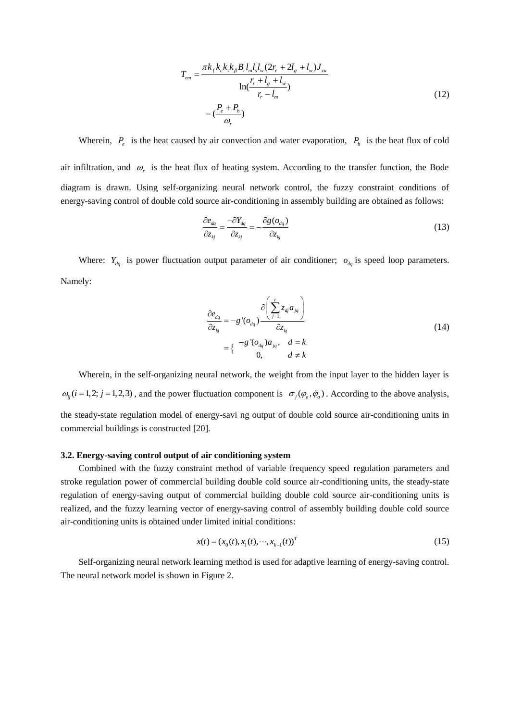$$
T_{em} = \frac{\pi k_f k_c k_1 k_\beta B_r l_m l_s l_w (2r_r + 2l_g + l_w) J_{cu}}{\ln(\frac{r_r + l_g + l_w}{r_r - l_m})}
$$
  
- $(\frac{P_e + P_h}{\omega_r})$  (12)

Wherein,  $P_e$  is the heat caused by air convection and water evaporation,  $P_h$  is the heat flux of cold air infiltration, and  $\omega_r$  is the heat flux of heating system. According to the transfer function, the Bode diagram is drawn. Using self-organizing neural network control, the fuzzy constraint conditions of energy-saving control of double cold source air-conditioning in assembly building are obtained as follows:

$$
\frac{\partial e_{dq}}{\partial z_{kj}} = \frac{-\partial Y_{dq}}{\partial z_{kj}} = -\frac{\partial g(o_{dq})}{\partial z_{kj}}
$$
(13)

Where:  $Y_{dq}$  is power fluctuation output parameter of air conditioner;  $o_{dq}$  is speed loop parameters. Namely:

$$
\frac{\partial e_{dq}}{\partial z_{kj}} = -g'(o_{dq}) \frac{\partial \left(\sum_{j=1}^{t} z_{dj} a_{jq}\right)}{\partial z_{kj}}
$$
\n
$$
= \left\{ \begin{array}{c} -g'(o_{dq}) a_{jq}, & d = k\\ 0, & d \neq k \end{array} \right.
$$
\n(14)

Wherein, in the self-organizing neural network, the weight from the input layer to the hidden layer is  $\omega_{ij}$  (*i* = 1, 2; *j* = 1, 2, 3), and the power fluctuation component is  $\sigma_j(\varphi_a, \dot{\varphi}_a)$ . According to the above analysis, the steady-state regulation model of energy-savi ng output of double cold source air-conditioning units in commercial buildings is constructed [20].

#### **3.2. Energy-saving control output of air conditioning system**

Combined with the fuzzy constraint method of variable frequency speed regulation parameters and stroke regulation power of commercial building double cold source air-conditioning units, the steady-state regulation of energy-saving output of commercial building double cold source air-conditioning units is realized, and the fuzzy learning vector of energy-saving control of assembly building double cold source air-conditioning units is obtained under limited initial conditions:

$$
x(t) = (x_0(t), x_1(t), \cdots, x_{k-1}(t))^T
$$
\n(15)

Self-organizing neural network learning method is used for adaptive learning of energy-saving control. The neural network model is shown in Figure 2.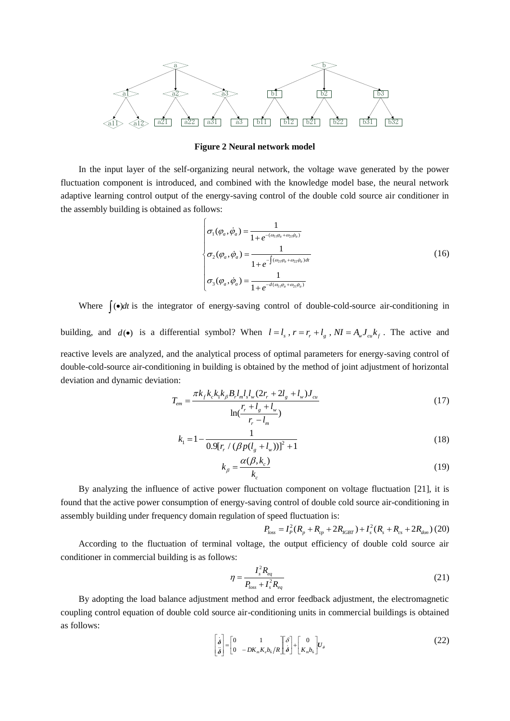

**Figure 2 Neural network model**

In the input layer of the self-organizing neural network, the voltage wave generated by the power fluctuation component is introduced, and combined with the knowledge model base, the neural network adaptive learning control output of the energy-saving control of the double cold source air conditioner in the assembly building is obtained as follows:

$$
\sigma_{1}(\varphi_{a}, \dot{\varphi}_{a}) = \frac{1}{1 + e^{-(\omega_{11}\varphi_{a} + \omega_{21}\dot{\varphi}_{a})}}
$$
\n
$$
\sigma_{2}(\varphi_{a}, \dot{\varphi}_{a}) = \frac{1}{1 + e^{-\int (\omega_{21}\varphi_{a} + \omega_{22}\dot{\varphi}_{a})dt}}
$$
\n
$$
\sigma_{3}(\varphi_{a}, \dot{\varphi}_{a}) = \frac{1}{1 + e^{-d(\omega_{11}\varphi_{a} + \omega_{21}\dot{\varphi}_{a})}}
$$
\n(16)

Where  $\int$ ( $\bullet$ )*dt* is the integrator of energy-saving control of double-cold-source air-conditioning in

building, and  $d(\bullet)$  is a differential symbol? When  $l = l_s$ ,  $r = r_r + l_g$ ,  $NI = A_w J_{cu} k_f$ . The active and reactive levels are analyzed, and the analytical process of optimal parameters for energy-saving control of double-cold-source air-conditioning in building is obtained by the method of joint adjustment of horizontal deviation and dynamic deviation:

on:  
\n
$$
T_{em} = \frac{\pi k_f k_c k_1 k_\beta B_r l_m l_s l_w (2r_r + 2l_g + l_w) J_{cu}}{\ln(\frac{r_r + l_g + l_w}{r_r - l_m})}
$$
\n(17)

$$
k_{1} = 1 - \frac{1}{0.9[r_{r} / (\beta p(l_{g} + l_{w}))]^{2} + 1}
$$
\n(18)

$$
k_{\beta} = \frac{\alpha(\beta, k_c)}{k_c} \tag{19}
$$

By analyzing the influence of active power fluctuation component on voltage fluctuation [21], it is found that the active power consumption of energy-saving control of double cold source air-conditioning in assembly building under frequency domain regulation of speed fluctuation is:<br>  $P_{loss} = I_P^2 (R_p + R_{cp} + 2R_{IGBT}) + I_s^2 (R_s + R_{cs} + 2R_{don})$ 

$$
P_{loss} = I_P^2(R_p + R_{cp} + 2R_{IGBT}) + I_s^2(R_s + R_{cs} + 2R_{don})
$$
 (20)

According to the fluctuation of terminal voltage, the output efficiency of double cold source air conditioner in commercial building is as follows:

$$
\eta = \frac{I_s^2 R_{eq}}{P_{loss} + I_s^2 R_{eq}}\tag{21}
$$

By adopting the load balance adjustment method and error feedback adjustment, the electromagnetic coupling control equation of double cold source air-conditioning units in commercial buildings is obtained as follows:

$$
\begin{bmatrix} \dot{\boldsymbol{\delta}} \\ \ddot{\boldsymbol{\delta}} \end{bmatrix} = \begin{bmatrix} 0 & 1 \\ 0 & -DK_m K_c b_6 / R \end{bmatrix} \begin{bmatrix} \boldsymbol{\delta} \\ \dot{\boldsymbol{\delta}} \end{bmatrix} + \begin{bmatrix} 0 \\ K_m b_6 \end{bmatrix} U_{\boldsymbol{\delta}}
$$
\n(22)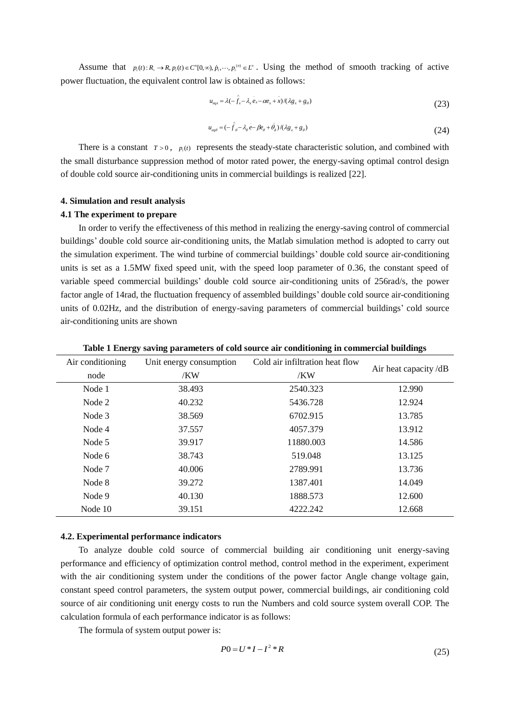Assume that  $p_i(t): R_{+} \to R$ ,  $p_i(t) \in C^{n}[0,\infty)$ ,  $\dot{p}_i$ ,  $\cdots$ ,  $p_i^{(n)} \in L^{\infty}$ . Using the method of smooth tracking of active power fluctuation, the equivalent control law is obtained as follows:

$$
u_{eqx} = \lambda(-\hat{f}_x - \lambda_x e_x - \alpha e_x + x) / (\lambda g_x + g_\theta)
$$
\n(23)

$$
u_{eq\theta} = (-\hat{f}_{\theta} - \lambda_{\theta} e - \beta e_{\theta} + \theta_{d})/(\lambda g_{x} + g_{\theta})
$$
\n(24)

There is a constant  $T > 0$ ,  $p_i(t)$  represents the steady-state characteristic solution, and combined with the small disturbance suppression method of motor rated power, the energy-saving optimal control design of double cold source air-conditioning units in commercial buildings is realized [22].

#### **4. Simulation and result analysis**

### **4.1 The experiment to prepare**

In order to verify the effectiveness of this method in realizing the energy-saving control of commercial buildings' double cold source air-conditioning units, the Matlab simulation method is adopted to carry out the simulation experiment. The wind turbine of commercial buildings' double cold source air-conditioning units is set as a 1.5MW fixed speed unit, with the speed loop parameter of 0.36, the constant speed of variable speed commercial buildings' double cold source air-conditioning units of 256rad/s, the power factor angle of 14rad, the fluctuation frequency of assembled buildings' double cold source air-conditioning units of 0.02Hz, and the distribution of energy-saving parameters of commercial buildings' cold source air-conditioning units are shown

| Air conditioning | Unit energy consumption | Cold air infiltration heat flow |                      |
|------------------|-------------------------|---------------------------------|----------------------|
| node             | /KW                     | /KW                             | Air heat capacity/dB |
| Node 1           | 38.493                  | 2540.323                        | 12.990               |
| Node 2           | 40.232                  | 5436.728                        | 12.924               |
| Node 3           | 38.569                  | 6702.915                        | 13.785               |
| Node 4           | 37.557                  | 4057.379                        | 13.912               |
| Node 5           | 39.917                  | 11880.003                       | 14.586               |
| Node 6           | 38.743                  | 519.048                         | 13.125               |
| Node 7           | 40.006                  | 2789.991                        | 13.736               |
| Node 8           | 39.272                  | 1387.401                        | 14.049               |
| Node 9           | 40.130                  | 1888.573                        | 12.600               |
| Node 10          | 39.151                  | 4222.242                        | 12.668               |

**Table 1 Energy saving parameters of cold source air conditioning in commercial buildings**

#### **4.2. Experimental performance indicators**

To analyze double cold source of commercial building air conditioning unit energy-saving performance and efficiency of optimization control method, control method in the experiment, experiment with the air conditioning system under the conditions of the power factor Angle change voltage gain, constant speed control parameters, the system output power, commercial buildings, air conditioning cold source of air conditioning unit energy costs to run the Numbers and cold source system overall COP. The calculation formula of each performance indicator is as follows:

The formula of system output power is:

$$
P0 = U * I - I^2 * R \tag{25}
$$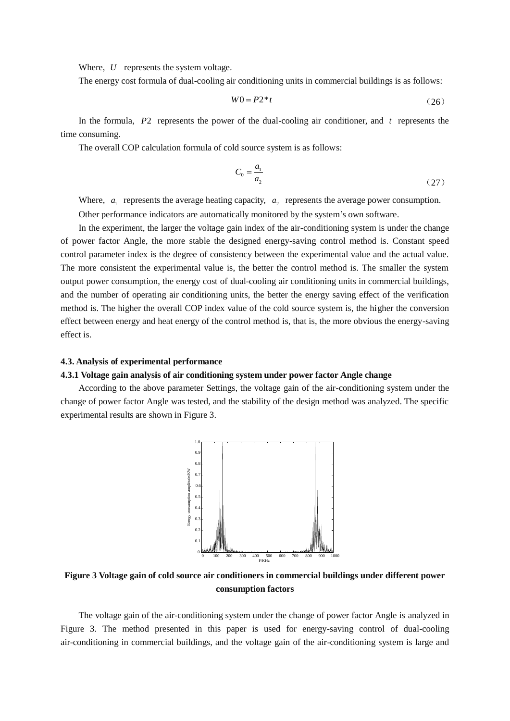Where, *U* represents the system voltage.

The energy cost formula of dual-cooling air conditioning units in commercial buildings is as follows:

$$
W0 = P2 * t \tag{26}
$$

In the formula, P2 represents the power of the dual-cooling air conditioner, and t represents the time consuming.

The overall COP calculation formula of cold source system is as follows:

$$
C_0 = \frac{a_1}{a_2} \tag{27}
$$

Where,  $a_1$  represents the average heating capacity,  $a_2$  represents the average power consumption. Other performance indicators are automatically monitored by the system's own software.

In the experiment, the larger the voltage gain index of the air-conditioning system is under the change of power factor Angle, the more stable the designed energy-saving control method is. Constant speed control parameter index is the degree of consistency between the experimental value and the actual value. The more consistent the experimental value is, the better the control method is. The smaller the system output power consumption, the energy cost of dual-cooling air conditioning units in commercial buildings, and the number of operating air conditioning units, the better the energy saving effect of the verification method is. The higher the overall COP index value of the cold source system is, the higher the conversion effect between energy and heat energy of the control method is, that is, the more obvious the energy-saving effect is.

### **4.3. Analysis of experimental performance**

#### **4.3.1 Voltage gain analysis of air conditioning system under power factor Angle change**

According to the above parameter Settings, the voltage gain of the air-conditioning system under the change of power factor Angle was tested, and the stability of the design method was analyzed. The specific experimental results are shown in Figure 3.



**Figure 3 Voltage gain of cold source air conditioners in commercial buildings under different power consumption factors**

The voltage gain of the air-conditioning system under the change of power factor Angle is analyzed in Figure 3. The method presented in this paper is used for energy-saving control of dual-cooling air-conditioning in commercial buildings, and the voltage gain of the air-conditioning system is large and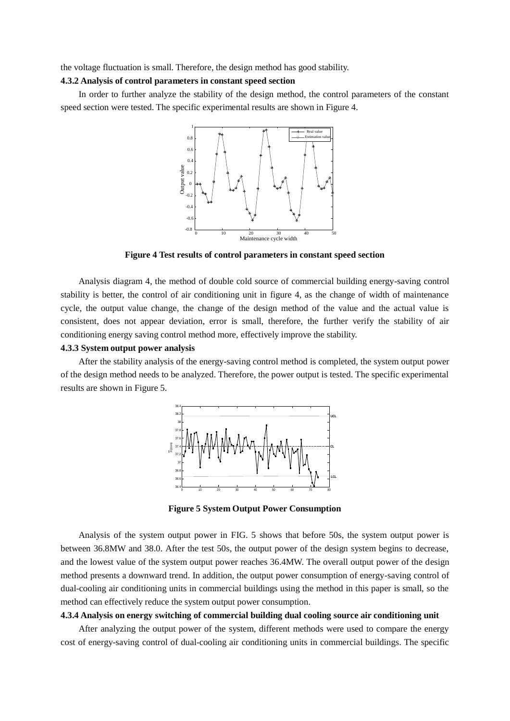the voltage fluctuation is small. Therefore, the design method has good stability.

#### **4.3.2 Analysis of control parameters in constant speed section**

In order to further analyze the stability of the design method, the control parameters of the constant speed section were tested. The specific experimental results are shown in Figure 4.



**Figure 4 Test results of control parameters in constant speed section**

Analysis diagram 4, the method of double cold source of commercial building energy-saving control stability is better, the control of air conditioning unit in figure 4, as the change of width of maintenance cycle, the output value change, the change of the design method of the value and the actual value is consistent, does not appear deviation, error is small, therefore, the further verify the stability of air conditioning energy saving control method more, effectively improve the stability.

#### **4.3.3 System output power analysis**

After the stability analysis of the energy-saving control method is completed, the system output power of the design method needs to be analyzed. Therefore, the power output is tested. The specific experimental results are shown in Figure 5.



**Figure 5 System Output Power Consumption**

Analysis of the system output power in FIG. 5 shows that before 50s, the system output power is between 36.8MW and 38.0. After the test 50s, the output power of the design system begins to decrease, and the lowest value of the system output power reaches 36.4MW. The overall output power of the design method presents a downward trend. In addition, the output power consumption of energy-saving control of dual-cooling air conditioning units in commercial buildings using the method in this paper is small, so the method can effectively reduce the system output power consumption.

#### **4.3.4 Analysis on energy switching of commercial building dual cooling source air conditioning unit**

After analyzing the output power of the system, different methods were used to compare the energy cost of energy-saving control of dual-cooling air conditioning units in commercial buildings. The specific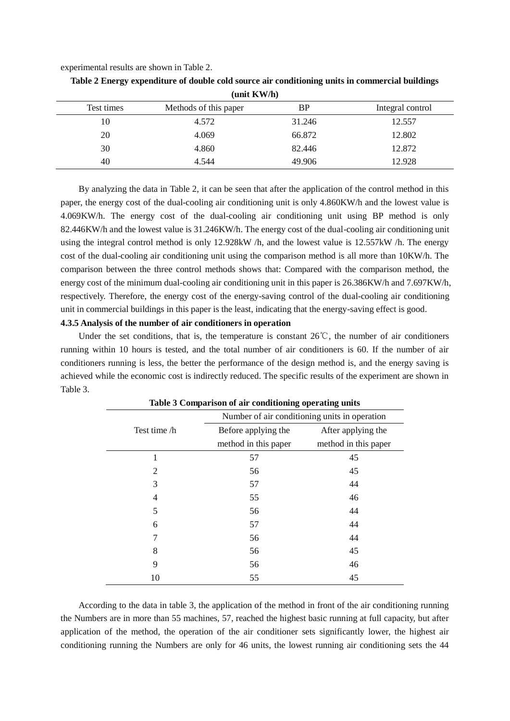experimental results are shown in Table 2.

| $($ um $\mathbf{N}$ $($ i $\mathbf{N}$ |                       |        |                  |  |
|----------------------------------------|-----------------------|--------|------------------|--|
| Test times                             | Methods of this paper | ВP     | Integral control |  |
| 10                                     | 4.572                 | 31.246 | 12.557           |  |
| 20                                     | 4.069                 | 66.872 | 12.802           |  |
| 30                                     | 4.860                 | 82.446 | 12.872           |  |
| 40                                     | 4.544                 | 49.906 | 12.928           |  |

**Table 2 Energy expenditure of double cold source air conditioning units in commercial buildings (unit KW/h)**

By analyzing the data in Table 2, it can be seen that after the application of the control method in this paper, the energy cost of the dual-cooling air conditioning unit is only 4.860KW/h and the lowest value is 4.069KW/h. The energy cost of the dual-cooling air conditioning unit using BP method is only 82.446KW/h and the lowest value is 31.246KW/h. The energy cost of the dual-cooling air conditioning unit using the integral control method is only 12.928kW /h, and the lowest value is 12.557kW /h. The energy cost of the dual-cooling air conditioning unit using the comparison method is all more than 10KW/h. The comparison between the three control methods shows that: Compared with the comparison method, the energy cost of the minimum dual-cooling air conditioning unit in this paper is 26.386KW/h and 7.697KW/h, respectively. Therefore, the energy cost of the energy-saving control of the dual-cooling air conditioning unit in commercial buildings in this paper is the least, indicating that the energy-saving effect is good.

## **4.3.5 Analysis of the number of air conditioners in operation**

Under the set conditions, that is, the temperature is constant  $26^{\circ}$ C, the number of air conditioners running within 10 hours is tested, and the total number of air conditioners is 60. If the number of air conditioners running is less, the better the performance of the design method is, and the energy saving is achieved while the economic cost is indirectly reduced. The specific results of the experiment are shown in Table 3.

|                | Table 5 Comparison of air conditioning operating units |                      |  |  |
|----------------|--------------------------------------------------------|----------------------|--|--|
|                | Number of air conditioning units in operation          |                      |  |  |
| Test time /h   | Before applying the                                    | After applying the   |  |  |
|                | method in this paper                                   | method in this paper |  |  |
| 1              | 57                                                     | 45                   |  |  |
| $\overline{2}$ | 56                                                     | 45                   |  |  |
| 3              | 57                                                     | 44                   |  |  |
| 4              | 55                                                     | 46                   |  |  |
| 5              | 56                                                     | 44                   |  |  |
| 6              | 57                                                     | 44                   |  |  |
| 7              | 56                                                     | 44                   |  |  |
| 8              | 56                                                     | 45                   |  |  |
| 9              | 56                                                     | 46                   |  |  |
| 10             | 55                                                     | 45                   |  |  |

**Table 3 Comparison of air conditioning operating units**

According to the data in table 3, the application of the method in front of the air conditioning running the Numbers are in more than 55 machines, 57, reached the highest basic running at full capacity, but after application of the method, the operation of the air conditioner sets significantly lower, the highest air conditioning running the Numbers are only for 46 units, the lowest running air conditioning sets the 44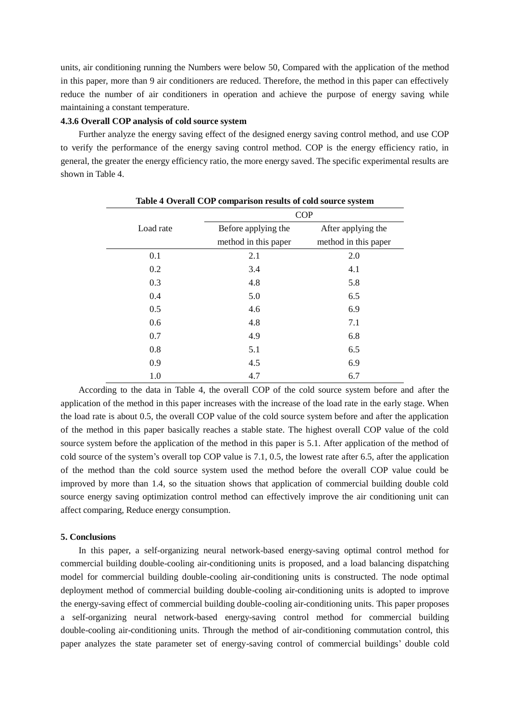units, air conditioning running the Numbers were below 50, Compared with the application of the method in this paper, more than 9 air conditioners are reduced. Therefore, the method in this paper can effectively reduce the number of air conditioners in operation and achieve the purpose of energy saving while maintaining a constant temperature.

### **4.3.6 Overall COP analysis of cold source system**

Further analyze the energy saving effect of the designed energy saving control method, and use COP to verify the performance of the energy saving control method. COP is the energy efficiency ratio, in general, the greater the energy efficiency ratio, the more energy saved. The specific experimental results are shown in Table 4.

| Table 4 Overall COP comparison results of cold source system |                      |                      |  |
|--------------------------------------------------------------|----------------------|----------------------|--|
|                                                              | <b>COP</b>           |                      |  |
| Load rate                                                    | Before applying the  | After applying the   |  |
|                                                              | method in this paper | method in this paper |  |
| 0.1                                                          | 2.1                  | 2.0                  |  |
| 0.2                                                          | 3.4                  | 4.1                  |  |
| 0.3                                                          | 4.8                  | 5.8                  |  |
| 0.4                                                          | 5.0                  | 6.5                  |  |
| 0.5                                                          | 4.6                  | 6.9                  |  |
| 0.6                                                          | 4.8                  | 7.1                  |  |
| 0.7                                                          | 4.9                  | 6.8                  |  |
| 0.8                                                          | 5.1                  | 6.5                  |  |
| 0.9                                                          | 4.5                  | 6.9                  |  |
| 1.0                                                          | 4.7                  | 6.7                  |  |

According to the data in Table 4, the overall COP of the cold source system before and after the application of the method in this paper increases with the increase of the load rate in the early stage. When the load rate is about 0.5, the overall COP value of the cold source system before and after the application of the method in this paper basically reaches a stable state. The highest overall COP value of the cold source system before the application of the method in this paper is 5.1. After application of the method of cold source of the system's overall top COP value is 7.1, 0.5, the lowest rate after 6.5, after the application of the method than the cold source system used the method before the overall COP value could be improved by more than 1.4, so the situation shows that application of commercial building double cold source energy saving optimization control method can effectively improve the air conditioning unit can affect comparing, Reduce energy consumption.

#### **5. Conclusions**

In this paper, a self-organizing neural network-based energy-saving optimal control method for commercial building double-cooling air-conditioning units is proposed, and a load balancing dispatching model for commercial building double-cooling air-conditioning units is constructed. The node optimal deployment method of commercial building double-cooling air-conditioning units is adopted to improve the energy-saving effect of commercial building double-cooling air-conditioning units. This paper proposes a self-organizing neural network-based energy-saving control method for commercial building double-cooling air-conditioning units. Through the method of air-conditioning commutation control, this paper analyzes the state parameter set of energy-saving control of commercial buildings' double cold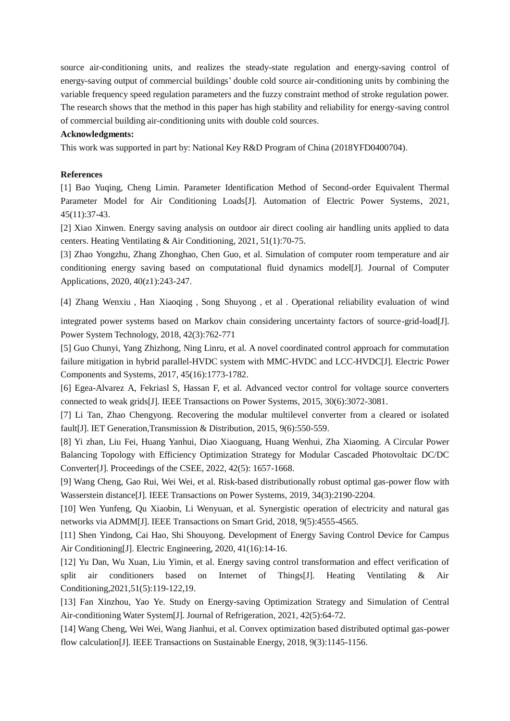source air-conditioning units, and realizes the steady-state regulation and energy-saving control of energy-saving output of commercial buildings' double cold source air-conditioning units by combining the variable frequency speed regulation parameters and the fuzzy constraint method of stroke regulation power. The research shows that the method in this paper has high stability and reliability for energy-saving control of commercial building air-conditioning units with double cold sources.

### **Acknowledgments:**

This work was supported in part by: National Key R&D Program of China (2018YFD0400704).

### **References**

[1] Bao Yuqing, Cheng Limin. Parameter Identification Method of Second-order Equivalent Thermal Parameter Model for Air Conditioning Loads[J]. Automation of Electric Power Systems, 2021, 45(11):37-43.

[2] Xiao Xinwen. Energy saving analysis on outdoor air direct cooling air handling units applied to data centers. [Heating Ventilating & Air Conditioning,](https://www.wanfangdata.com.cn/perio/detail.do?perio_id=ntkt&perio_title=Heating%20Ventilating%20&%20Air%20Conditioning) 2021, 51(1):70-75.

[3] Zhao Yongzhu, Zhang Zhonghao, Chen Guo, et al. Simulation of computer room temperature and air conditioning energy saving based on computational fluid dynamics model[J]. Journal of Computer Applications, 2020, 40(z1):243-247.

[4] Zhang Wenxiu, Han Xiaoqing, Song Shuyong, et al. Operational reliability evaluation of wind

integrated power systems based on Markov chain considering uncertainty factors of source-grid-load[J]. Power System Technology, 2018, 42(3):762-771

[5] Guo Chunyi, Yang Zhizhong, Ning Linru, et al. A novel coordinated control approach for commutation failure mitigation in hybrid parallel-HVDC system with MMC-HVDC and LCC-HVDC[J]. Electric Power Components and Systems, 2017, 45(16):1773-1782.

[6] Egea-Alvarez A, Fekriasl S, Hassan F, et al. Advanced vector control for voltage source converters connected to weak grids[J]. IEEE Transactions on Power Systems, 2015, 30(6):3072-3081.

[7] Li Tan, Zhao Chengyong. Recovering the modular multilevel converter from a cleared or isolated fault<sup>[J]</sup>. IET Generation, Transmission & Distribution, 2015, 9(6):550-559.

[8] Yi zhan, Liu Fei, Huang Yanhui, Diao Xiaoguang, Huang Wenhui, Zha Xiaoming. A Circular Power Balancing Topology with Efficiency Optimization Strategy for Modular Cascaded Photovoltaic DC/DC Converter[J]. Proceedings of the CSEE, 2022, 42(5): 1657-1668.

[9] Wang Cheng, Gao Rui, Wei Wei, et al. Risk-based distributionally robust optimal gas-power flow with Wasserstein distance[J]. IEEE Transactions on Power Systems, 2019, 34(3):2190-2204.

[10] Wen Yunfeng, Qu Xiaobin, Li Wenyuan, et al. Synergistic operation of electricity and natural gas networks via ADMM[J]. IEEE Transactions on Smart Grid, 2018, 9(5):4555-4565.

[11] Shen Yindong, Cai Hao, Shi Shouyong. Development of Energy Saving Control Device for Campus Air Conditioning[J]. [Electric Engineering,](https://www.wanfangdata.com.cn/perio/detail.do?perio_id=dgjs&perio_title=Electric%20Engineering) 2020, 41(16):14-16.

[12] Yu Dan, Wu Xuan, Liu Yimin, et al. Energy saving control transformation and effect verification of split air conditioners based on Internet of Things[J]. Heating Ventilating & Air Conditioning,2021,51(5):119-122,19.

[13] Fan Xinzhou, Yao Ye. Study on Energy-saving Optimization Strategy and Simulation of Central Air-conditioning Water System[J]. Journal of Refrigeration, 2021, 42(5):64-72.

[14] Wang Cheng, Wei Wei, Wang Jianhui, et al. Convex optimization based distributed optimal gas-power flow calculation[J]. IEEE Transactions on Sustainable Energy, 2018, 9(3):1145-1156.